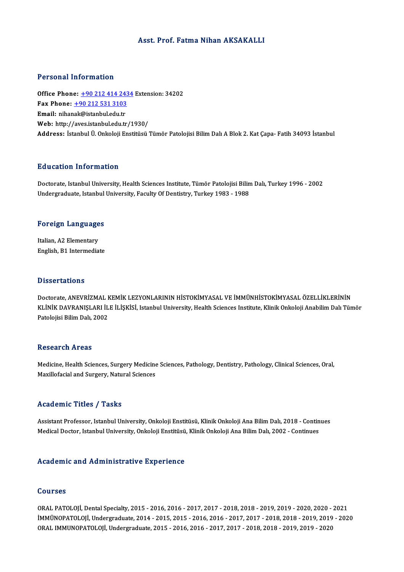#### Asst. Prof. Fatma Nihan AKSAKALLI

#### Personal Information

Office Phone: +90 212 414 2434 Extension: 34202 Fax Phone: <u>+90 212 414 243</u><br>Fax Phone: <u>+90 212 531 3103</u><br>Fmail: nibanak@istanbul.cdu.tr Office Phone: <u>+90 212 414 24:</u><br>Fax Phone: <u>+90 212 531 3103</u><br>Email: nihan[ak@istanbul.edu.tr](tel:+90 212 531 3103)<br>Web: http://aves.istanbul.edu.tr Email: nihanak@istanbul.edu.tr<br>Web: http://aves.istanbul.edu.tr/1930/ Address: İstanbulÜ.OnkolojiEnstitüsüTümör PatolojisiBilimDalıABlok2.KatÇapa-Fatih 34093 İstanbul

#### Education Information

Education Information<br>Doctorate, Istanbul University, Health Sciences Institute, Tümör Patolojisi Bilim Dalı, Turkey 1996 - 2002<br>Undergraduate Istanbul University, Faculty Of Dentistry, Turkey 1982, 1988 Du u cucron Tinot Inucron<br>Doctorate, Istanbul University, Health Sciences Institute, Tümör Patolojisi Bilin<br>Undergraduate, Istanbul University, Faculty Of Dentistry, Turkey 1983 - 1988

# <sub>ondergraduate, istanbul</sub><br>Foreign Languages

**Foreign Language<br>Italian, A2 Elementary<br>English P1 Intermedia** Italian, A2 Elementary<br>English, B1 Intermediate

#### **Dissertations**

Doctorate, ANEVRİZMAL KEMİK LEZYONLARININ HİSTOKİMYASAL VE İMMÜNHİSTOKİMYASAL ÖZELLİKLERİNİN B ISSOF LATIONIS<br>Doctorate, ANEVRİZMAL KEMİK LEZYONLARININ HİSTOKİMYASAL VE İMMÜNHİSTOKİMYASAL ÖZELLİKLERİNİN<br>KLİNİK DAVRANIŞLARI İLE İLİŞKİSİ, Istanbul University, Health Sciences Institute, Klinik Onkoloji Anabilim Dalı Doctorate, ANEVRİZMAL I<br>KLİNİK DAVRANIŞLARI İL<br>Patolojisi Bilim Dalı, 2002 Patolojisi Bilim Dalı, 2002<br>Research Areas

Medicine, Health Sciences, Surgery Medicine Sciences, Pathology, Dentistry, Pathology, Clinical Sciences, Oral, Maxillofacial and Surgery, Natural Sciences

#### Academic Titles / Tasks

Academic Titles / Tasks<br>Assistant Professor, Istanbul University, Onkoloji Enstitüsü, Klinik Onkoloji Ana Bilim Dalı, 2018 - Continues<br>Medisal Dostar, Istanbul University, Onkoloji Enstitüsü, Klinik Onkoloji Ana Bilim Dalı 110aa SIII - 11008 - 7 abite<br>Assistant Professor, Istanbul University, Onkoloji Enstitüsü, Klinik Onkoloji Ana Bilim Dalı, 2018 - Contin<br>Medical Doctor, Istanbul University, Onkoloji Enstitüsü, Klinik Onkoloji Ana Bilim Da Medical Doctor, Istanbul University, Onkoloji Enstitüsü, Klinik Onkoloji Ana Bilim Dalı, 2002 - Continues<br>Academic and Administrative Experience

#### Courses

Courses<br>ORAL PATOLOJİ, Dental Specialty, 2015 - 2016, 2016 - 2017, 2017 - 2018, 2018 - 2019, 2019 - 2020, 2020 - 2021<br>İMAÜNORATOLOJİ, Undergraduata, 2014, ...2015, ...2016, ...2016, ...2017, ...2018, ...2018, ...2019, ...2 UULISES<br>ORAL PATOLOJİ, Dental Specialty, 2015 - 2016, 2016 - 2017, 2017 - 2018, 2018 - 2019, 2019 - 2020, 2020 - 2021<br>İMMÜNOPATOLOJİ, Undergraduate, 2014 - 2015, 2016 - 2016, 2016 - 2017, 2017 - 2018, 2018 - 2019, 2019 - 2 ORAL PATOLOJİ, Dental Specialty, 2015 - 2016, 2016 - 2017, 2017 - 2018, 2018 - 2019, 2019 - 2020, 2020 -<br>İMMÜNOPATOLOJİ, Undergraduate, 2014 - 2015, 2015 - 2016, 2016 - 2017, 2017 - 2018, 2018 - 2019, 2019<br>ORAL IMMUNOPATOL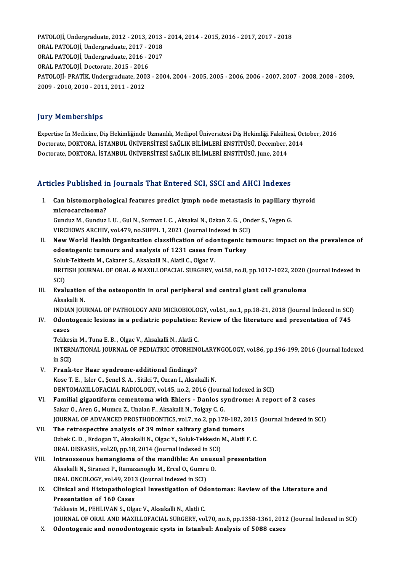PATOLOJİ,Undergraduate,2012 -2013,2013 -2014,2014 -2015,2016 -2017,2017 -2018 PATOLOJİ, Undergraduate, 2012 - 2013, 2013<br>ORAL PATOLOJİ, Undergraduate, 2017 - 2018<br>ORAL PATOLOJİ, Undergraduate, 2016 - 2017 PATOLOJİ, Undergraduate, 2012 - 2013, 2013<br>ORAL PATOLOJİ, Undergraduate, 2017 - 2018<br>ORAL PATOLOJİ, Undergraduate, 2016 - 2017<br>ORAL PATOLOJİ, Destersta 2015 - 2016 ORAL PATOLOJİ, Undergraduate, 2017 - 2018<br>ORAL PATOLOJİ, Undergraduate, 2016 - 2017<br>ORAL PATOLOJİ. Doctorate. 2015 - 2016 PATOLOJİ-PRATİK,Undergraduate,2003 -2004,2004 -2005,2005 -2006,2006 -2007,2007 -2008,2008 -2009, 2009 -2010,2010 -2011,2011 -2012

#### **Jury Memberships**

Jury Memberships<br>Expertise In Medicine, Diş Hekimliğinde Uzmanlık, Medipol Üniversitesi Diş Hekimliği Fakültesi, October, 2016<br>Destarata DOKTORA İSTANPUL ÜNİVERSİTESİ SAĞLIK RİLIMLERİ ENSTİTÜSÜ Desember, 2014 Jary Tremberempe<br>Expertise In Medicine, Diş Hekimliğinde Uzmanlık, Medipol Üniversitesi Diş Hekimliği Fakültesi, Oc<br>Doctorate, DOKTORA, İSTANBUL ÜNİVERSİTESİ SAĞLIK BİLİMLERİ ENSTİTÜSÜ, December, 2014<br>Doctorate, DOKTORA, İ Doctorate, DOKTORA, İSTANBUL ÜNİVERSİTESİ SAĞLIK BİLİMLERİ ENSTİTÜSÜ, December, 2014<br>Doctorate, DOKTORA, İSTANBUL ÜNİVERSİTESİ SAĞLIK BİLİMLERİ ENSTİTÜSÜ, June, 2014

# Articles Published in Journals That Entered SCI, SSCI and AHCI Indexes

rticles Published in Journals That Entered SCI, SSCI and AHCI Indexes<br>I. Can histomorphological features predict lymph node metastasis in papillary thyroid<br>misrosarsinome? microcarcinoma<br>Can histomorphol<br>Cunduz M. Cunduz Can histomorphological features predict lymph node metastasis in papillary<br>microcarcinoma?<br>Gunduz M., Gunduz I. U. , Gul N., Sormaz I. C. , Aksakal N., Ozkan Z. G. , Onder S., Yegen G.<br>VIRCHOWS ARCHIV, Vol.479, no SUPPL 1, microcarcinoma?<br>Gunduz M., Gunduz I. U. , Gul N., Sormaz I. C. , Aksakal N., Ozkan Z. G. , Onder S., Yegen G.

- Gunduz M., Gunduz I. U. , Gul N., Sormaz I. C. , Aksakal N., Ozkan Z. G. , Onder S., Yegen G.<br>VIRCHOWS ARCHIV, vol.479, no.SUPPL 1, 2021 (Journal Indexed in SCI)<br>II. New World Health Organization classification of odontoge VIRCHOWS ARCHIV, vol.479, no.SUPPL 1, 2021 (Journal Indexed in SCI)<br>New World Health Organization classification of odontogenic tu<br>odontogenic tumours and analysis of 1231 cases from Turkey New World Health Organization classification of odd<br>odontogenic tumours and analysis of 1231 cases fro<br>Soluk-Tekkesin M., Cakarer S., Aksakalli N., Alatli C., Olgac V.<br>PRITISH JOURNAL OF ORAL & MAYU LOFACIAL SURCERY BRITISH JOURNAL OF ORAL & MAXILLOFACIAL SURGERY, vol.58, no.8, pp.1017-1022, 2020 (Journal Indexed in<br>SCD Soluk-Tekkesin M., Cakarer S., Aksakalli N., Alatli C., Olgac V. BRITISH JOURNAL OF ORAL & MAXILLOFACIAL SURGERY, vol.58, no.8, pp.1017-1022, 2020 (<br>SCI)<br>III. Evaluation of the osteopontin in oral peripheral and central giant cell granuloma<br>Alsoluli N
- SCI)<br><mark>Evaluation</mark><br>Aksakalli N.<br>INDIAN IOU Evaluation of the osteopontin in oral peripheral and central giant cell granuloma<br>Aksakalli N.<br>INDIAN JOURNAL OF PATHOLOGY AND MICROBIOLOGY, vol.61, no.1, pp.18-21, 2018 (Journal Indexed in SCI)<br>Odentesenia legions in a po

Aksakalli N.<br>INDIAN JOURNAL OF PATHOLOGY AND MICROBIOLOGY, vol.61, no.1, pp.18-21, 2018 (Journal Indexed in SCI)<br>IV. Odontogenic lesions in a pediatric population: Review of the literature and presentation of 745

INDIA<br>**Odont**<br>cases<br>Tekkes Odontogenic lesions in a pediatric population:<br>cases<br>Tekkesin M., Tuna E. B. , Olgac V., Aksakalli N., Alatli C.<br>INTERNATIONAL JOURNAL OF REDIATRIC OTORHING

cases<br>Tekkesin M., Tuna E. B. , Olgac V., Aksakalli N., Alatli C.<br>INTERNATIONAL JOURNAL OF PEDIATRIC OTORHINOLARYNGOLOGY, vol.86, pp.196-199, 2016 (Journal Indexed Tekkesi<br>INTERN<br>in SCI)<br>Erenk INTERNATIONAL JOURNAL OF PEDIATRIC OTORHIN<br>in SCI)<br>V. Frank-ter Haar syndrome-additional findings?<br>Kose T. E., Joke C. Sanal S. A., Sitlei T. Ozean J. Akoa

- in SCI)<br>V. Frank-ter Haar syndrome-additional findings?<br>Kose T. E. , Isler C., Şenel S. A. , Sitilci T., Ozcan I., Aksakalli N. Frank-ter Haar syndrome-additional findings?<br>Kose T. E. , Isler C., Şenel S. A. , Sitilci T., Ozcan I., Aksakalli N.<br>DENTOMAXILLOFACIAL RADIOLOGY, vol.45, no.2, 2016 (Journal Indexed in SCI)<br>Familial gigantiform comenteme
- VI. Familial gigantiform cementoma with Ehlers Danlos syndrome: A report of 2 cases<br>Sakar O., Aren G., Mumcu Z., Unalan F., Aksakalli N., Tolgay C. G. DENTOMAXILLOFACIAL RADIOLOGY, vol.45, no.2, 2016 (Journ<br>Familial gigantiform cementoma with Ehlers - Danlos sy<br>Sakar O., Aren G., Mumcu Z., Unalan F., Aksakalli N., Tolgay C. G.<br>JOUPNAL OF ADVANCED PROSTHODONTICS vol.7 no. Familial gigantiform cementoma with Ehlers - Danlos syndrome: A report of 2 cases<br>Sakar O., Aren G., Mumcu Z., Unalan F., Aksakalli N., Tolgay C. G.<br>JOURNAL OF ADVANCED PROSTHODONTICS, vol.7, no.2, pp.178-182, 2015 (Journa
- VII. The retrospective analysis of 39 minor salivary gland tumors<br>Ozbek C. D., Erdogan T., Aksakalli N., Olgac Y., Soluk-Tekkesin M., Alatli F. C. JOURNAL OF ADVANCED PROSTHODONTICS, vol.7, no.2, pp.178-182, 2015<br>The retrospective analysis of 39 minor salivary gland tumors<br>Ozbek C. D. , Erdogan T., Aksakalli N., Olgac Y., Soluk-Tekkesin M., Alatli F. C.<br>OPAL DISEASES The retrospective analysis of 39 minor salivary gland<br>Ozbek C. D. , Erdogan T., Aksakalli N., Olgac Y., Soluk-Tekkesin<br>ORAL DISEASES, vol.20, pp.18, 2014 (Journal Indexed in SCI)<br>Intressessous homongiame of the mandible: A
- VIII. Intraosseous hemangioma of the mandible: An unusual presentation<br>Aksakalli N., Siraneci P., Ramazanoglu M., Ercal O., Gumru O. ORAL DISEASES, vol.20, pp.18, 2014 (Journal Indexed in SC)<br>Intraosseous hemangioma of the mandible: An unusi<br>Aksakalli N., Siraneci P., Ramazanoglu M., Ercal O., Gumru O.<br>ORAL ONCOLOCY vol.49, 2012 (Journal Indexed in SC) Intraosseous hemangioma of the mandible: An un<br>Aksakalli N., Siraneci P., Ramazanoglu M., Ercal O., Gumru<br>ORAL ONCOLOGY, vol.49, 2013 (Journal Indexed in SCI)<br>Clinical and Histopathological Investigation of Od.
- Aksakalli N., Siraneci P., Ramazanoglu M., Ercal O., Gumru O.<br>ORAL ONCOLOGY, vol.49, 2013 (Journal Indexed in SCI)<br>IX. Clinical and Histopathological Investigation of Odontomas: Review of the Literature and<br>Presentation of ORAL ONCOLOGY, vol.49, 2013<br>Clinical and Histopatholog<br>Presentation of 160 Cases<br>Tekkesin M. REHU WAN S. Oka Clinical and Histopathological Investigation of Od<br>Presentation of 160 Cases<br>Tekkesin M., PEHLIVAN S., Olgac V., Aksakalli N., Alatli C.<br>JOUPMAL OF OPAL AND MAXILLOFACIAL SUPCERY v.a Presentation of 160 Cases<br>Tekkesin M., PEHLIVAN S., Olgac V., Aksakalli N., Alatli C.<br>JOURNAL OF ORAL AND MAXILLOFACIAL SURGERY, vol.70, no.6, pp.1358-1361, 2012 (Journal Indexed in SCI)<br>Odentegenis and penedentegenis syst Tekkesin M., PEHLIVAN S., Olgac V., Aksakalli N., Alatli C.<br>JOURNAL OF ORAL AND MAXILLOFACIAL SURGERY, vol.70, no.6, pp.1358-1361, 201<br>X. Odontogenic and nonodontogenic cysts in Istanbul: Analysis of 5088 cases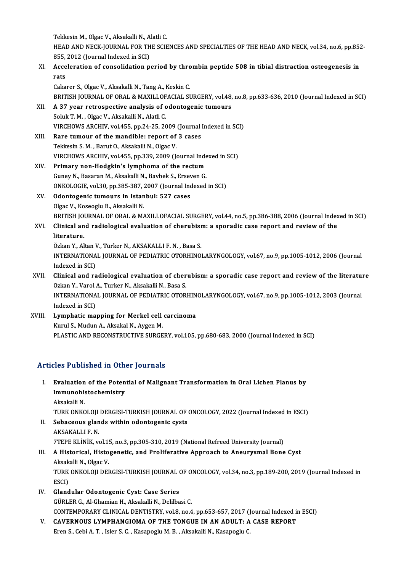Tekkesin M., Olgac V., Aksakalli N., Alatli C. Tekkesin M., Olgac V., Aksakalli N., Alatli C.<br>HEAD AND NECK-JOURNAL FOR THE SCIENCES AND SPECIALTIES OF THE HEAD AND NECK, vol.34, no.6, pp.852-<br>855–3013 (Journal Indoved in SCD Tekkesin M., Olgac V., Aksakalli N., A<br>HEAD AND NECK-JOURNAL FOR TH<br>855, 2012 (Journal Indexed in SCI) HEAD AND NECK-JOURNAL FOR THE SCIENCES AND SPECIALTIES OF THE HEAD AND NECK, vol.34, no.6, pp.85<br>855, 2012 (Journal Indexed in SCI)<br>XI. Acceleration of consolidation period by thrombin peptide 508 in tibial distraction ost

## 855,<br>Acce<br>rats Acceleration of consolidation period by thro<br>rats<br>Cakarer S., Olgac V., Aksakalli N., Tang A., Keskin C.<br>PRITISH JOURNAL OF ORAL & MAYU LOFACIAL SI rats<br>Cakarer S., Olgac V., Aksakalli N., Tang A., Keskin C.<br>BRITISH JOURNAL OF ORAL & MAXILLOFACIAL SURGERY, vol.48, no.8, pp.633-636, 2010 (Journal Indexed in SCI)<br>A 37 veer retrespestive analysis of edentegenis tumours

Cakarer S., Olgac V., Aksakalli N., Tang A., Keskin C.<br>BRITISH JOURNAL OF ORAL & MAXILLOFACIAL SURGERY, vol.48,<br>XII. A 37 year retrospective analysis of odontogenic tumours<br>Soluk T. M. . Olgac V., Aksakalli N., Alatli BRITISH JOURNAL OF ORAL & MAXILLOF<br>A 37 year retrospective analysis of c<br>Soluk T. M. , Olgac V., Aksakalli N., Alatli C.<br>VIRCHOWS ARCHIV, vol.455, pp.24,25,26 VIRCHOWS ARCHIV, vol.455, pp.24-25, 2009 (Journal Indexed in SCI) Soluk T. M., Olgac V., Aksakalli N., Alatli C.<br>VIRCHOWS ARCHIV, vol.455, pp.24-25, 2009 (Journal<br>XIII. Rare tumour of the mandible: report of 3 cases<br>Tekkesin S. M. Perut O. Aksakalli N. Olgas V.

VIRCHOWS ARCHIV, vol.455, pp.24-25, 2009<br>Rare tumour of the mandible: report of<br>Tekkesin S. M. , Barut O., Aksakalli N., Olgac V.<br>VIRCHOWS ARCHIV, vol.455, pp.329, 2009 (L Tekkesin S. M. , Barut O., Aksakalli N., Olgac V.<br>VIRCHOWS ARCHIV, vol.455, pp.339, 2009 (Journal Indexed in SCI) Tekkesin S. M. , Barut O., Aksakalli N., Olgac V.<br>VIRCHOWS ARCHIV, vol.455, pp.339, 2009 (Journal Index<br>XIV. Primary non-Hodgkin's lymphoma of the rectum<br>Cunev N. Bassnan M. Aksakalli N. Baybak S. Exasyon G.

VIRCHOWS ARCHIV, vol.455, pp.339, 2009 (Journal Inde<br>Primary non-Hodgkin's lymphoma of the rectum<br>Guney N., Basaran M., Aksakalli N., Bavbek S., Erseven G.<br>ONKOLOGIE vol.30, np.395, 397, 3007 (Journal Indexed Primary non-Hodgkin's lymphoma of the rectum<br>Guney N., Basaran M., Aksakalli N., Bavbek S., Erseven G.<br>ONKOLOGIE, vol.30, pp.385-387, 2007 (Journal Indexed in SCI)<br>Odentegenie tumoure in Istanbul: 537, 20000 Guney N., Basaran M., Aksakalli N., Bavbek S., Erseven G.<br>ONKOLOGIE, vol.30, pp.385-387, 2007 (Journal Indexed<br>XV. Odontogenic tumours in Istanbul: 527 cases<br>Olgac V., Koseoglu B., Aksakalli N.

## ONKOLOGIE, vol.30, pp.385-387, 3<br>Odontogenic tumours in Istan<br>Olgac V., Koseoglu B., Aksakalli N.<br>PRITISH JOURNAL OF ORAL & M. BRITISH JOURNAL OF ORAL & MAXILLOFACIAL SURGERY, vol.44, no.5, pp.386-388, 2006 (Journal Indexed in SCI) Olgac V., Koseoglu B., Aksakalli N.<br>BRITISH JOURNAL OF ORAL & MAXILLOFACIAL SURGERY, vol.44, no.5, pp.386-388, 2006 (Journal Index<br>XVI. Clinical and radiological evaluation of cherubism: a sporadic case report and revi

BRITISH JO<br>Clinical an<br>literature.<br>Özkan X - Al Clinical and radiological evaluation of cherubisi<br>literature.<br>Özkan Y., Altan V., Türker N., AKSAKALLI F. N. , Basa S.<br>INTERNATIONAL JOURNAL OF REDIATRIC OTORUINO.

literature.<br>Özkan Y., Altan V., Türker N., AKSAKALLI F. N. , Basa S.<br>INTERNATIONAL JOURNAL OF PEDIATRIC OTORHINOLARYNGOLOGY, vol.67, no.9, pp.1005-1012, 2006 (Journal Özkan Y., Altan V.<br>INTERNATIONA<br>Indexed in SCI)<br>Clinical and ra

## INTERNATIONAL JOURNAL OF PEDIATRIC OTORHINOLARYNGOLOGY, vol.67, no.9, pp.1005-1012, 2006 (Journal<br>Indexed in SCI)<br>XVII. Clinical and radiological evaluation of cherubism: a sporadic case report and review of the literature Indexed in SCI)<br>Clinical and radiological evaluation of cher<br>Ozkan Y., Varol A., Turker N., Aksakalli N., Basa S.<br>INTERNATIONAL JOURNAL OF REDIATRIC OTOR Clinical and radiological evaluation of cherubism: a sporadic case report and review of the literatu:<br>Ozkan Y., Varol A., Turker N., Aksakalli N., Basa S.<br>INTERNATIONAL JOURNAL OF PEDIATRIC OTORHINOLARYNGOLOGY, vol.67, no.

Ozkan Y., Varol A., Turker N., Aksakalli N., Basa S.<br>INTERNATIONAL JOURNAL OF PEDIATRIC OTORHINOLARYNGOLOGY, vol.67, no.9, pp.1005-1012, 2003 (Journal<br>Indexed in SCI) INTERNATIONAL JOURNAL OF PEDIATRIC OTORHIN<br>Indexed in SCI)<br>XVIII. Lymphatic mapping for Merkel cell carcinoma<br>Evimil S. Mudun A. Alsokal N. Aygan M

Indexed in SCI)<br><mark>Lymphatic mapping for Merkel cell</mark><br>Kurul S., Mudun A., Aksakal N., Aygen M.<br>PLASTIC AND RECONSTRUCTIVE SURCE Kurul S., Mudun A., Aksakal N., Aygen M.<br>PLASTIC AND RECONSTRUCTIVE SURGERY, vol.105, pp.680-683, 2000 (Journal Indexed in SCI)

#### Articles Published in Other Journals

rticles Published in Other Journals<br>I. Evaluation of the Potential of Malignant Transformation in Oral Lichen Planus by<br>Immunobistechemistry Immunohistochemistry<br>Immunohistochemistry<br>Akaakalli M E<mark>valuation</mark><br>Immunohis<br>Aksakalli N.<br>TUP*K* ON*KC* Immunohistochemistry<br>Aksakalli N.<br>TURK ONKOLOJI DERGISI-TURKISH JOURNAL OF ONCOLOGY, 2022 (Journal Indexed in ESCI)<br>Sebageaus glands within odentegenis systs Aksakalli N.<br>TURK ONKOLOJI DERGISI-TURKISH JOURNAL OF<br>II. Sebaceous glands within odontogenic cysts

TURK ONKOLOJI<br>Sebaceous glan<br>AKSAKALLI F. N.<br>7TEDE VI İNİV. v Sebaceous glands within odontogenic cysts<br>AKSAKALLI F. N.<br>7TEPE KLİNİK, vol.15, no.3, pp.305-310, 2019 (National Refreed University Journal)<br>A Historiaal, Histogenetis, and Preliferative Annreach to Aneurwamel Bone AKSAKALLI F. N.<br>7TEPE KLINIK, vol.15, no.3, pp.305-310, 2019 (National Refreed University Journal)<br>III. A Historical, Histogenetic, and Proliferative Approach to Aneurysmal Bone Cyst<br>Aksakalli N., Olgac V.

## TTEPE KLİNİK, vol.1!<br>A Historical, Histo<br>Aksakalli N., Olgac V.<br>TURK ONKOLOU DEL A Historical, Histogenetic, and Proliferative Approach to Aneurysmal Bone Cyst<br>Aksakalli N., Olgac V.<br>TURK ONKOLOJI DERGISI-TURKISH JOURNAL OF ONCOLOGY, vol.34, no.3, pp.189-200, 2019 (Journal Indexed in<br>ESCD Aksak<br>TURK<br>ESCI)<br>Cland

- IV. Glandular Odontogenic Cyst: Case Series GÜRLER G., Al-Ghamian H., Aksakalli N., Delilbasi C. Glandular Odontogenic Cyst: Case Series<br>GÜRLER G., Al-Ghamian H., Aksakalli N., Delilbasi C.<br>CONTEMPORARY CLINICAL DENTISTRY, vol.8, no.4, pp.653-657, 2017 (Journal Indexed in ESCI)<br>CAVERNOUS J YMPHANCIOMA OF THE TONCUE IN GÜRLER G., Al-Ghamian H., Aksakalli N., Delilbasi C.<br>CONTEMPORARY CLINICAL DENTISTRY, vol.8, no.4, pp.653-657, 2017 (Journal Indexed in<br>V. CAVERNOUS LYMPHANGIOMA OF THE TONGUE IN AN ADULT: A CASE REPORT<br>Fron S. Cobi A. T.
- CONTEMPORARY CLINICAL DENTISTRY, vol.8, no.4, pp.653-657, 2017 (J<br>CAVERNOUS LYMPHANGIOMA OF THE TONGUE IN AN ADULT: A<br>Eren S., Cebi A. T. , Isler S. C. , Kasapoglu M. B. , Aksakalli N., Kasapoglu C.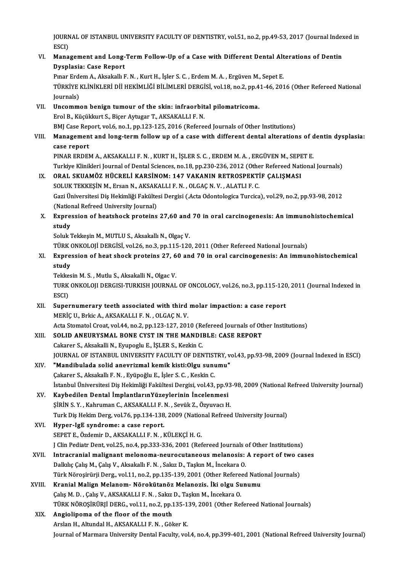JOURNAL OF ISTANBUL UNIVERSITY FACULTY OF DENTISTRY, vol.51, no.2, pp.49-53, 2017 (Journal Indexed in<br>ESCD JOURN<br>ESCI)<br>Mana JOURNAL OF ISTANBUL UNIVERSITY FACULTY OF DENTISTRY, vol.51, no.2, pp.49-53, 2017 (Journal Index<br>ESCI)<br>VI. Management and Long-Term Follow-Up of a Case with Different Dental Alterations of Dentin<br>Diverlesia: Case Benert

# ESCI)<br>VI. Management and Long-Term Follow-Up of a Case with Different Dental Alterations of Dentin<br>Dysplasia: Case Report

Pınar Erdem A., Aksakallı F. N., Kurt H., İşler S. C., Erdem M. A., Ergüven M., Sepet E. Dysplasia: Case Report<br>Pınar Erdem A., Aksakallı F. N. , Kurt H., İşler S. C. , Erdem M. A. , Ergüven M., Sepet E.<br>TÜRKİYE KLİNİKLERİ Dİİ HEKİMLİĞİ BİLİMLERİ DERGİSİ, vol.18, no.2, pp.41-46, 2016 (Other Refereed National Pınar Erde<br>TÜRKİYE<br>Journals)<br>Uncomm TÜRKİYE KLİNİKLERİ Dİİ HEKİMLİĞİ BİLİMLERİ DERGİSİ, vol.18, no.2, pp.4<br>Journals)<br>VII. Uncommon benign tumour of the skin: infraorbital pilomatricoma.<br>Frel B. Küçükleyt S. Bioer Aytugar T. AKSAKALLLE N

- Journals)<br>FrolB., Küçükkurt S., Biçer Aytugar T., AKSAKALLI F. N.<br>Erol B., Küçükkurt S., Biçer Aytugar T., AKSAKALLI F. N. Uncommon benign tumour of the skin: infraorbital pilomatricoma.<br>Erol B., Küçükkurt S., Biçer Aytugar T., AKSAKALLI F. N.<br>BMJ Case Report, vol.6, no.1, pp.123-125, 2016 (Refereed Journals of Other Institutions)<br>Management a Erol B., Küçükkurt S., Biçer Aytugar T., AKSAKALLI F. N.<br>BMJ Case Report, vol.6, no.1, pp.123-125, 2016 (Refereed Journals of Other Institutions)<br>VIII. Management and long-term follow up of a case with different dental alt
- **BMJ Case Rep<br>Managemen<br>case report<br>PINAP EPDE!** Management and long-term follow up of a case with different dental alterations of c<br>case report<br>PINAR ERDEM A., AKSAKALLI F. N. , KURT H., İŞLER S. C. , ERDEM M. A. , ERGÜVEN M., SEPET E.<br>Turkiye Klinikleri Journal of Dont

case report<br>PINAR ERDEM A., AKSAKALLI F. N. , KURT H., İŞLER S. C. , ERDEM M. A. , ERGÜVEN M., SEPET E.<br>Turkiye Klinikleri Journal of Dental Sciences, no.18, pp.230-236, 2012 (Other Refereed National Journals)

### IX. ORAL SKUAMÖZ HÜCRELİ KARSİNOM: 147 VAKANIN RETROSPEKTİF ÇALIŞMASI Turkiye Klinikleri Journal of Dental Sciences, no.18, pp.230-236, 2012 (Othe<br>ORAL SKUAMÖZ HÜCRELİ KARSİNOM: 147 VAKANIN RETROSPEKTİ<br>SOLUK TEKKEŞİN M., Ersan N., AKSAKALLI F. N. , OLGAÇ N. V. , ALATLI F. C.<br>Ceri Üniversites Gazi Üniversitesi Diş Hekimliği Fakültesi Dergisi (.Acta Odontologica Turcica), vol.29, no.2, pp.93-98, 2012<br>(National Refreed University Journal) SOLUK TEKKEŞİN M., Ersan N., AKSAK<br>Gazi Üniversitesi Diş Hekimliği Fakülte<br>(National Refreed University Journal)<br>Eunnessian of bastabaslı pratains Gazi Üniversitesi Diş Hekimliği Fakültesi Dergisi (.Acta Odontologica Turcica), vol.29, no.2, pp.93-98, 2012<br>(National Refreed University Journal)<br>X. Expression of heatshock proteins 27,60 and 70 in oral carcinogenesis: An

(Nation)<br>Expres<br>study Expression of heatshock proteins 27,60 and<br>study<br>Soluk Tekkeşin M., MUTLU S., Aksakallı N., Olgaç V.<br>TÜRK ONKOLOU DERÇİSİ vel 26 na 3 nn 115 120

study<br>Soluk Tekkeşin M., MUTLU S., Aksakallı N., Olgaç V.<br>TÜRK ONKOLOJİ DERGİSİ, vol.26, no.3, pp.115-120, 2011 (Other Refereed National Journals)

## Soluk Tekkeşin M., MUTLU S., Aksakallı N., Olgaç V.<br>TÜRK ONKOLOJİ DERGİSİ, vol.26, no.3, pp.115-120, 2011 (Other Refereed National Journals)<br>XI. Expression of heat shock proteins 27, 60 and 70 in oral carcinogenesis: An im TÜRK (<br><mark>Expre:</mark><br>study<br>Tekkes Expression of heat shock proteins 27, 6<br>study<br>Tekkesin M. S. , Mutlu S., Aksakalli N., Olgac V.<br>TURK ONKOLOU DERCISI TURKISH JOURNAL

study<br>Tekkesin M. S. , Mutlu S., Aksakalli N., Olgac V.<br>TURK ONKOLOJI DERGISI-TURKISH JOURNAL OF ONCOLOGY, vol.26, no.3, pp.115-120, 2011 (Journal Indexed in<br>ESCD Tekke<br>TURK<br>ESCI)<br>Sunot TURK ONKOLOJI DERGISI-TURKISH JOURNAL OF ONCOLOGY, vol.26, no.3, pp.115-120<br>ESCI)<br>XII. Supernumerary teeth associated with third molar impaction: a case report<br>MEDIC U. Prise A. AKSAKALLLE N., OLGAG N. V.

- ESCI)<br>Supernumerary teeth associated with third molar impaction: a case report<br>MERİÇ U., Brkic A., AKSAKALLI F. N. , OLGAÇ N. V. Supernumerary teeth associated with third molar impaction: a case report<br>MERİÇ U., Brkic A., AKSAKALLI F. N. , OLGAÇ N. V.<br>Acta Stomatol Croat, vol.44, no.2, pp.123-127, 2010 (Refereed Journals of Other Institutions)<br>SOLID MERİÇ U., Brkic A., AKSAKALLI F. N. , OLGAÇ N. V.<br>Acta Stomatol Croat, vol.44, no.2, pp.123-127, 2010 (Refereed Journals of Otl<br>XIII. SOLID ANEURYSMAL BONE CYST IN THE MANDIBLE: CASE REPORT<br>Colsense S. Alsolialli N. Euross
- SOLID ANEURYSMAL BONE CYST IN THE MANDIBLE: CASE REPORT Cakarer S., Aksakalli N., Eyupoglu E., İŞLER S., Kezkin C. SOLID ANEURYSMAL BONE CYST IN THE MANDIBLE: CASE REPORT<br>Cakarer S., Aksakalli N., Eyupoglu E., İŞLER S., Kezkin C.<br>JOURNAL OF ISTANBUL UNIVERSITY FACULTY OF DENTISTRY, vol.43, pp.93-98, 2009 (Journal Indexed in ESCI)<br>"Mand
- XIV. "Mandibulada solid anevrizmal kemik kisti:Olgu sunumu" JOURNAL OF ISTANBUL UNIVERSITY FACULTY OF DENTIST<br>**"Mandibulada solid anevrizmal kemik kisti:Olgu sun**ı<br>Çakarer S., Aksakallı F. N. , Eyüpoğlu E., İşler S. C. , Keskin C.<br>İstanbul Üniversitesi Dis Hekimliği Felsiltesi Derg İstanbul Üniversitesi Diş Hekimliği Fakültesi Dergisi, vol.43, pp.93-98, 2009 (National Refreed University Journal)
- XV. Kaybedilen Dental İmplantlarınYüzeylerinin İncelenmesi İstanbul Üniversitesi Diş Hekimliği Fakültesi Dergisi, vol.43, pp.93<br>**Kaybedilen Dental İmplantlarınYüzeylerinin İncelenmesi**<br>ŞİRİN S. Y. , Kahruman C., AKSAKALLI F. N. , Sevük Z., Özyuvacı H.<br>Turk Diş Hekim Derg vol 76, n Turk Diş Hekim Derg, vol.76, pp.134-138, 2009 (National Refreed University Journal)<br>XVI. Hyper-IgE syndrome: a case report. SIRIN S. Y., Kahruman C., AKSAKALLI F.<br>Turk Diş Hekim Derg, vol.76, pp.134-138<br>XVI. Hyper-IgE syndrome: a case report.
- SEPETE.,ÖzdemirD.,AKSAKALLIF.N. ,KÜLEKÇİH.G. Hyper-IgE syndrome: a case report.<br>SEPET E., Özdemir D., AKSAKALLI F. N. , KÜLEKÇİ H. G.<br>J Clin Pediatr Dent, vol.25, no.4, pp.333-336, 2001 (Refereed Journals of Other Institutions)<br>Intrecrenial malignant melanema neurocu SEPET E., Özdemir D., AKSAKALLI F. N. , KÜLEKÇİ H. G.<br>J Clin Pediatr Dent, vol.25, no.4, pp.333-336, 2001 (Refereed Journals of Other Institutions)<br>XVII. Intracranial malignant melonoma-neurocutaneous melanosis: A report o
- J Clin Pediatr Dent, vol.25, no.4, pp.333-336, 2001 (Refereed Journals of Intracranial malignant melonoma-neurocutaneous melanosis:<br>Dalkılıç Çalış M., Çalış V., Aksakallı F. N. , Sakız D., Taşkın M., İncekara O.<br>Türk Nöros Intracranial malignant melonoma-neurocutaneous melanosis: A report of two candidation of two controller and the<br>Dalkilic Çalış M., Çalış V., Aksakallı F. N. , Sakız D., Taşkın M., İncekara O.<br>Türk Nöroşirürji Derg., vol.11 Dalkılıç Çalış M., Çalış V., Aksakallı F. N. , Sakız D., Taşkın M., İncekara O.<br>Türk Nöroşirürji Derg., vol.11, no.2, pp.135-139, 2001 (Other Refereed National Journals)<br>XVIII. Kranial Malign Melanom- Nörokütanöz Melan
- Türk Nöroşirürji Derg., vol.11, no.2, pp.135-139, 2001 (Other Refered<br>Kranial Malign Melanom- Nörokütanöz Melanozis. İki olgu Su<br>Çalış M. D., Çalış V., AKSAKALLI F. N. , Sakız D., Taşkın M., İncekara O.<br>Tüpk Nöposipüpu DEP Kranial Malign Melanom- Nörokütanöz Melanozis. İki olgu Sunumu<br>Çalış M. D. , Çalış V., AKSAKALLI F. N. , Sakız D., Taşkın M., İncekara O.<br>TÜRK NÖROŞİRÜRJİ DERG., vol.11, no.2, pp.135-139, 2001 (Other Refereed National Jour Calls M. D., Calls V., AKSAKALLI F. N., Sakız<br>TÜRK NÖROŞİRÜRJİ DERG., vol.11, no.2, pp.1<br>XIX. Angiolipoma of the floor of the mouth
- TÜRK NÖROŞİRÜRJİ DERG., vol.11, no.2, pp.135-1<br>Angiolipoma of the floor of the mouth<br>Arslan H., Altundal H., AKSAKALLI F. N. , Göker K.<br>Journal of Marmara University Dantal Faculty vol Angiolipoma of the floor of the mouth<br>Arslan H., Altundal H., AKSAKALLI F. N. , Göker K.<br>Journal of Marmara University Dental Faculty, vol.4, no.4, pp.399-401, 2001 (National Refreed University Journal)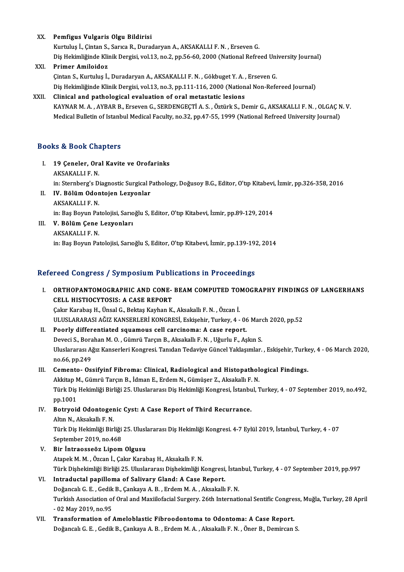#### XX. Pemfigus Vulgaris Olgu Bildirisi

Kurtuluş İ., Çintan S., Sarıca R., Duradaryan A., AKSAKALLI F. N., Erseven G. Dis Hekimliğinde Klinik Dergisi, vol.13, no.2, pp.56-60, 2000 (National Refreed University Journal)

#### XXI. Primer Amiloidoz

Çintan S., Kurtuluş İ., Duradaryan A., AKSAKALLI F. N., Gökbuget Y. A., Erseven G. Diş Hekimliğinde Klinik Dergisi, vol.13, no.3, pp.111-116, 2000 (National Non-Refereed Journal)

#### XXII. Clinical and pathological evaluation of oral metastatic lesions

KAYNARM.A. ,AYBARB.,ErsevenG.,SERDENGEÇTİA.S. ,ÖztürkS.,DemirG.,AKSAKALLIF.N. ,OLGAÇN.V. Medical Bulletin of Istanbul Medical Faculty, no.32, pp.47-55, 1999 (National Refreed University Journal)

#### Books&Book Chapters

- ooks & Book Chapters<br>I. 19 Çeneler, Oral Kavite ve Orofarinks<br>AKSAKALLE N as as 2008 and<br>19 Çeneler, Ora<br>AKSAKALLIF.N.<br>in:Sternherg'e D AKSAKALLI F. N.<br>in: Sternberg's Diagnostic Surgical Pathology, Doğusoy B.G., Editor, O'tıp Kitabevi, İzmir, pp.326-358, 2016 AKSAKALLI F. N.<br>in: Sternberg's Diagnostic Surgical P<br>II. IV. Bölüm Odontojen Lezyonlar
- in: Sternberg's D<br>I<mark>V. Bölüm Odor</mark><br>AKSAKALLI F. N.<br>in: Pes Porun Pe I<mark>V. Bölüm Odontojen Lezyonlar</mark><br>AKSAKALLI F. N.<br>in: Baş Boyun Patolojisi, Sarıoğlu S, Editor, O'tıp Kitabevi, İzmir, pp.89-129, 2014<br>V. Bölüm Cane Lawonları AKSAKALLI F. N.<br>in: Baş Boyun Patolojisi, Sarıo<br>III. **V. Bölüm Çene Lezyonları**<br>AKSAKALLI F. N.
- in: Baş Boyun Pa<br><mark>V. Bölüm Çene</mark><br>AKSAKALLI F. N.<br>in: Pas Poyun Pa in: Baş Boyun Patolojisi, Sarıoğlu S, Editor, O'tıp Kitabevi, İzmir, pp.139-192, 2014

#### Refereed Congress / Symposium Publications in Proceedings

I. ORTHOPANTOMOGRAPHIC AND CONE- BEAM COMPUTED TOMOGRAPHY FINDINGS OF LANGERHANS CELL HISTIOCYTOSIS: A CASE REPORT Çakır Karabaş H., Ünsal G., Bektaş Kayhan K., Aksakallı F. N., Özcan İ. CELL HISTIOCYTOSIS: A CASE REPORT<br>Çakır Karabaş H., Ünsal G., Bektaş Kayhan K., Aksakallı F. N. , Özcan İ.<br>ULUSLARARASI AĞIZ KANSERLERİ KONGRESİ, Eskişehir, Turkey, 4 - 06 March 2020, pp.52<br>Poorly differentiated seyemeye s

II. Poorly differentiated squamous cell carcinoma: A case report.<br>Deveci S., Borahan M. O., Gümrü Tarçın B., Aksakallı F. N., Uğurlu F., Aşkın S. ULUSLARARASI AĞIZ KANSERLERİ KONGRESİ, Eskişehir, Turkey, 4 - 06 Marc<br>Poorly differentiated squamous cell carcinoma: A case report.<br>Deveci S., Borahan M. O. , Gümrü Tarçın B., Aksakallı F. N. , Uğurlu F., Aşkın S.<br>Hluelara Poorly differentiated squamous cell carcinoma: A case report.<br>Deveci S., Borahan M. O. , Gümrü Tarçın B., Aksakallı F. N. , Uğurlu F., Aşkın S.<br>Uluslararası Ağız Kanserleri Kongresi. Tanıdan Tedaviye Güncel Yaklaşımlar. , Deveci S., Bora<br>Uluslararası A<sub>l</sub><br>no.66, pp.249<br>Camanta - Os Uluslararası Ağız Kanserleri Kongresi. Tanıdan Tedaviye Güncel Yaklaşımlar. , Eskişehir, Turko.<br>10.66, pp.249<br>III. Cemento- Ossifyinf Fibroma: Clinical, Radiological and Histopathological Findings.

# no.66, pp.249<br>III. Cemento- Ossifyinf Fibroma: Clinical, Radiological and Histopathological Findings.<br>Akkitap M., Gümrü Tarçın B., İdman E., Erdem N., Gümüşer Z., Aksakallı F. N.

Cemento- Ossifyinf Fibroma: Clinical, Radiological and Histopathological Findings.<br>Akkitap M., Gümrü Tarçın B., İdman E., Erdem N., Gümüşer Z., Aksakallı F. N.<br>Türk Diş Hekimliği Birliği 25. Uluslararası Diş Hekimliği Kong Akkitap<br>Türk Diş<br>pp.1001<br>Botryois Türk Diş Hekimliği Birliği 25. Uluslararası Diş Hekimliği Kongresi, İstanbu<br>pp.1001<br>IV. Botryoid Odontogenic Cyst: A Case Report of Third Recurrance.<br>Altın N. Akaakallı E.N.

# pp.1001<br>IV. Botryoid Odontogenic Cyst: A Case Report of Third Recurrance.<br>Altın N., Aksakallı F. N.

Botryoid Odontogenic Cyst: A Case Report of Third Recurrance.<br>Altın N., Aksakallı F. N.<br>Türk Diş Hekimliği Birliği 25. Uluslararası Diş Hekimliği Kongresi. 4-7 Eylül 2019, İstanbul, Turkey, 4 - 07<br>Sentember 2019, ne.469 Altın N., Aksakallı F. N.<br>Türk Diş Hekimliği Birliği<br>September 2019, no.468<br>Bir İntraesseöz Linem Türk Diş Hekimliği Birliği 25. Ulusl:<br>September 2019, no.468<br>V. Bir İntraosseöz Lipom Olgusu<br>Atapek M. M. Özcap İ. Celar Karak

September 2019, no.468<br>V. Bir İntraosseöz Lipom Olgusu<br>Atapek M. M. , Özcan İ., Çakır Karabaş H., Aksakallı F. N. Bir İntraosseöz Lipom Olgusu<br>Atapek M. M. , Özcan İ., Çakır Karabaş H., Aksakallı F. N.<br>Türk Dişhekimliği Birliği 25. Uluslararası Dişhekimliği Kongresi, İstanbul, Turkey, 4 - 07 September 2019, pp.997<br>Intraduatal napillam VI. Intraductal papilloma of Salivary Gland: A Case Report.

### Türk Dişhekimliği Birliği 25. Uluslararası Dişhekimliği Kongresi, İstan<br>I**ntraductal papilloma of Salivary Gland: A Case Report.**<br>Doğancalı G. E. , Gedik B., Çankaya A. B. , Erdem M. A. , Aksakallı F. N.<br>Turkish Associatio Turkish Association of Oral and Maxiilofacial Surgery. 26th International Sentific Congress, Muğla, Turkey, 28 April<br>- 02 May 2019, no.95 Doğancalı G. E., Gedik B., Çankaya A. B., Erdem M. A., Aksakallı F. N.

VII. Transformation of Ameloblastic Fibroodontoma to Odontoma: A Case Report. Doğancalı G. E., Gedik B., Çankaya A. B., Erdem M. A., Aksakallı F. N., Öner B., Demircan S.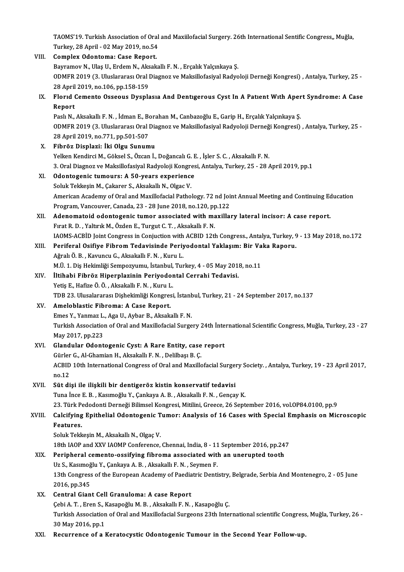TAOMS'19. Turkish Association of Oral and Maxiilofacial Surgery. 26th International Sentific Congress,, Muğla,<br>Turkay, 28 April - 02 May 2010, no 54 TAOMS'19. Turkish Association of Oral<br>Turkey, 28 April - 02 May 2019, no.54<br>Campley, Odentemay Case Benert Turkey, 28 April - 02 May 2019, no 54

|        | TAOMS'19. Turkish Association of Oral and Maxiilofacial Surgery. 26th International Sentific Congress,, Muğla,       |
|--------|----------------------------------------------------------------------------------------------------------------------|
|        | Turkey, 28 April - 02 May 2019, no 54                                                                                |
| VIII.  | Complex Odontoma: Case Report.                                                                                       |
|        | Bayramov N., Ulaş U., Erdem N., Aksakallı F. N., Erçalık Yalçınkaya Ş.                                               |
|        | ODMFR 2019 (3. Uluslararası Oral Diagnoz ve Maksillofasiyal Radyoloji Derneği Kongresi), Antalya, Turkey, 25 -       |
|        | 28 April 2019, no 106, pp 158-159                                                                                    |
| IX.    | Florid Cemento Osseous Dysplasia And Dentigerous Cyst In A Patient With Apert Syndrome: A Case                       |
|        | Report                                                                                                               |
|        | Paslı N., Aksakallı F. N., İdman E., Borahan M., Canbazoğlu E., Garip H., Erçalık Yalçınkaya Ş.                      |
|        | ODMFR 2019 (3. Uluslararası Oral Diagnoz ve Maksillofasiyal Radyoloji Derneği Kongresi), Antalya, Turkey, 25 -       |
|        | 28 April 2019, no 771, pp 501-507                                                                                    |
| X.     | Fibröz Displazi: İki Olgu Sunumu                                                                                     |
|        | Yelken Kendirci M., Göksel S., Özcan İ., Doğancalı G. E., İşler S. C., Aksakallı F. N.                               |
|        | 3. Oral Diagnoz ve Maksillofasiyal Radyoloji Kongresi, Antalya, Turkey, 25 - 28 April 2019, pp.1                     |
| XI.    | Odontogenic tumours: A 50-years experience                                                                           |
|        | Soluk Tekkeşin M., Çakarer S., Aksakallı N., Olgac V.                                                                |
|        | American Academy of Oral and Maxillofacial Pathology. 72 nd Joint Annual Meeting and Continuing Education            |
|        | Program, Vancouver, Canada, 23 - 28 June 2018, no.120, pp.122                                                        |
| XII.   | Adenomatoid odontogenic tumor associated with maxillary lateral incisor: A case report.                              |
|        | Fırat R. D., Yaltırık M., Özden E., Turgut C. T., Aksakallı F. N.                                                    |
|        | IAOMS-ACBID Joint Congress in Conjuction with ACBID 12th Congress., Antalya, Turkey, 9 - 13 May 2018, no.172         |
| XIII.  | Periferal Osifiye Fibrom Tedavisinde Periyodontal Yaklaşım: Bir Vaka Raporu.                                         |
|        | Ağralı Ö. B., Kavuncu G., Aksakallı F. N., Kuru L.                                                                   |
|        | M.Ü. 1. Diş Hekimliği Sempozyumu, İstanbul, Turkey, 4 - 05 May 2018, no.11                                           |
| XIV.   | İltihabi Fibröz Hiperplazinin Periyodontal Cerrahi Tedavisi.                                                         |
|        | Yetiş E., Hafize Ö. Ö., Aksakallı F. N., Kuru L.                                                                     |
|        | TDB 23. Ulusalararası Dişhekimliği Kongresi, İstanbul, Turkey, 21 - 24 September 2017, no.137                        |
| XV.    | Ameloblastic Fibroma: A Case Report.                                                                                 |
|        | Emes Y., Yanmaz L., Aga U., Aybar B., Aksakallı F. N.                                                                |
|        | Turkish Association of Oral and Maxillofacial Surgery 24th İnternational Scientific Congress, Muğla, Turkey, 23 - 27 |
|        | May 2017, pp 223                                                                                                     |
| XVI.   | Glandular Odontogenic Cyst: A Rare Entity, case report                                                               |
|        | Gürler G., Al-Ghamian H., Aksakallı F. N., Delilbaşı B. Ç.                                                           |
|        | ACBID 10th International Congress of Oral and Maxillofacial Surgery Society., Antalya, Turkey, 19 - 23 April 2017,   |
|        | no 12                                                                                                                |
| XVII.  | Süt dişi ile ilişkili bir dentigeröz kistin konservatif tedavisi                                                     |
|        | Tuna İnce E. B., Kasımoğlu Y., Çankaya A. B., Aksakallı F. N., Gençay K.                                             |
|        | 23. Türk Pedodonti Derneği Bilimsel Kongresi, Mitilini, Greece, 26 September 2016, vol. OP84.0100, pp. 9             |
| XVIII. | Calcifying Epithelial Odontogenic Tumor: Analysis of 16 Cases with Special Emphasis on Microscopic                   |
|        | Features.                                                                                                            |
|        | Soluk Tekkeşin M., Aksakallı N., Olgaç V.                                                                            |
|        | 18th IAOP and XXV IAOMP Conference, Chennai, India, 8 - 11 September 2016, pp.247                                    |
| XIX.   | Peripheral cemento-ossifying fibroma associated with an unerupted tooth                                              |
|        | Uz S., Kasımoğlu Y., Çankaya A. B., Aksakallı F. N., Seymen F.                                                       |
|        | 13th Congress of the European Academy of Paediatric Dentistry, Belgrade, Serbia And Montenegro, 2 - 05 June          |
|        | 2016, pp.345                                                                                                         |
| XX.    | Central Giant Cell Granuloma: A case Report                                                                          |
|        | Çebi A. T., Eren S., Kasapoğlu M. B., Aksakallı F. N., Kasapoğlu Ç.                                                  |
|        | Turkish Association of Oral and Maxillofacial Surgeons 23th International scientific Congress, Muğla, Turkey, 26 -   |
|        | 30 May 2016, pp 1                                                                                                    |
| XXI.   | Recurrence of a Keratocystic Odontogenic Tumour in the Second Year Follow-up.                                        |
|        |                                                                                                                      |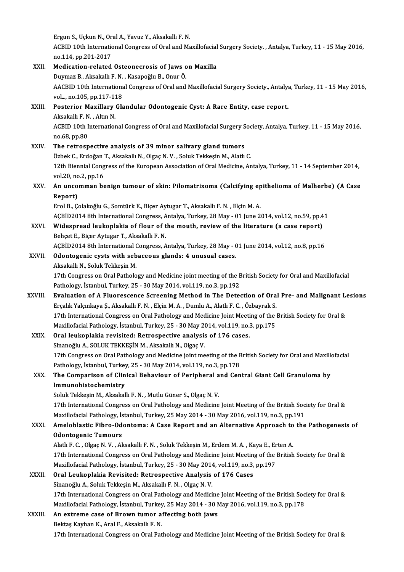Ergun S., Uçkun N., Oral A., Yavuz Y., Aksakallı F. N.<br>ACBID 10th International Congress of Oral and Me

ACBID 10th International Congress of Oral and Maxillofacial Surgery Society. , Antalya, Turkey, 11 - 15 May 2016,<br>no.114, pp.201-2017 Ergun S., Uçkun N., Or<br>ACBID 10th Internation<br>no.114, pp.201-2017<br>Medication related

#### ACBID 10th International Congress of Oral and Maxillofacial<br>no.114, pp.201-2017<br>XXII. Medication-related Osteonecrosis of Jaws on Maxilla<br>Durman B. Alsokally E. N. Kosanožly B. Onun Ö. no.114, pp.201-2017<br>Medication-related Osteonecrosis of Jaws o<br>Duymaz B., Aksakallı F. N. , Kasapoğlu B., Onur Ö.<br>AACPID.10th International Congress of Oral and AACBID 10th International Congress of Oral and Maxillofacial Surgery Society., Antalya, Turkey, 11 - 15 May 2016, vol..., no.105, pp.117-118 Duymaz B., Aksakallı F. N., Kasapoğlu B., Onur Ö. AACBID 10th International Congress of Oral and Maxillofacial Surgery Society., Antaly,<br>vol..., no.105, pp.117-118<br>XXIII. Posterior Maxillary Glandular Odontogenic Cyst: A Rare Entity, case report. vol..., no.105, pp.117-11<br>Posterior Maxillary<br>Aksakallı F. N. , Altın N.<br>ACBID 10th Internation Posterior Maxillary Glandular Odontogenic Cyst: A Rare Entity, case report.<br>Aksakallı F. N. , Altın N.<br>ACBID 10th International Congress of Oral and Maxillofacial Surgery Society, Antalya, Turkey, 11 - 15 May 2016,<br>no 68, Aksakallı F. N<br>ACBID 10th I<br>no.68, pp.80<br>The retreen ACBID 10th International Congress of Oral and Maxillofacial Surgery S<br>no.68, pp.80<br>XXIV. The retrospective analysis of 39 minor salivary gland tumors<br> $\delta$ gbak G. Endožen T. Aksakall: N. Okas N. V. Saluk Takkasin M. Alath no.68, pp.80<br>The retrospective analysis of 39 minor salivary gland tumors<br>Özbek C., Erdoğan T., Aksakallı N., Olgaç N. V. , Soluk Tekkeşin M., Alatlı C. The retrospective analysis of 39 minor salivary gland tumors<br>Özbek C., Erdoğan T., Aksakallı N., Olgaç N. V. , Soluk Tekkeşin M., Alatlı C.<br>12th Biennial Congress of the European Association of Oral Medicine, Antalya, Turk Özbek C., Erdoğan<br>12th Biennial Cong<br>vol.20, no.2, pp.16<br>An uncomman be 12th Biennial Congress of the European Association of Oral Medicine, Antalya, Turkey, 11 - 14 September 2014,<br>vol.20, no.2, pp.16<br>XXV. An uncomman benign tumour of skin: Pilomatrixoma (Calcifying epithelioma of Malherbe) ( vol.20, no<br><mark>An unco</mark><br>Report)<br><sup>Frol B</sup> S An uncomman benign tumour of skin: Pilomatrixoma (Calcifying ep<br>Report)<br>Erol B., Çolakoğlu G., Somtürk E., Biçer Aytugar T., Aksakallı F. N. , Elçin M. A.<br>ACPİD2014 8th International Congress, Antolya Turkey, 28 May , 01 J Report)<br>Erol B., Çolakoğlu G., Somtürk E., Biçer Aytugar T., Aksakallı F. N. , Elçin M. A.<br>AÇBİD2014 8th International Congress, Antalya, Turkey, 28 May - 01 June 2014, vol.12, no.59, pp.41<br>Wideenreed Joukenlakia of flour Erol B., Çolakoğlu G., Somtürk E., Biçer Aytugar T., Aksakallı F. N. , Elçin M. A.<br>AÇBİD2014 8th International Congress, Antalya, Turkey, 28 May - 01 June 2014, vol.12, no.59, pp.4<br>XXVI. Widespread leukoplakia of flour of AÇBİD2014 8th International Congress, A<br>Widespread leukoplakia of flour of t<br>Behçet E., Biçer Aytugar T., Aksakallı F. N.<br>ACPİD2014 8th International Congress, A Widespread leukoplakia of flour of the mouth, review of the literature (a case report)<br>Behçet E., Biçer Aytugar T., Aksakallı F. N.<br>AÇBİD2014 8th International Congress, Antalya, Turkey, 28 May - 01 June 2014, vol.12, no.8 Behçet E., Biçer Aytugar T., Aksakallı F. N.<br>AÇBİD2014 8th International Congress, Antalya, Turkey, 28 May - (<br>XXVII. Odontogenic cysts with sebaceous glands: 4 unusual cases.<br>Aksakallı N. Saluk Takkasin M. AÇBİD2014 8th International (<br>**Odontogenic cysts with seb**<br>Aksakallı N., Soluk Tekkeşin M.<br>17th Congress en Oral Batholo 0dontogenic cysts with sebaceous glands: 4 unusual cases.<br>Aksakallı N., Soluk Tekkeşin M.<br>17th Congress on Oral Pathology and Medicine joint meeting of the British Society for Oral and Maxillofacial<br>Pathology Istanbul Turk Aksakallı N., Soluk Tekkeşin M.<br>17th Congress on Oral Pathology and Medicine joint meeting of the E<br>Pathology, İstanbul, Turkey, 25 - 30 May 2014, vol.119, no.3, pp.192<br>Evaluation of A Eluonessense Sareening Method in The 17th Congress on Oral Pathology and Medicine joint meeting of the British Society for Oral and Maxillofacial<br>Pathology, İstanbul, Turkey, 25 - 30 May 2014, vol.119, no.3, pp.192<br>XXVIII. Evaluation of A Fluorescence Screeni Pathology, İstanbul, Turkey, 25 - 30 May 2014, vol.119, no.3, pp.192<br>**Evaluation of A Fluorescence Screening Method in The Detection of Ora**<br>Erçalık Yalçınkaya Ş., Aksakallı F. N. , Elçin M. A. , Dumlu A., Alatlı F. C. , Ö Evaluation of A Fluorescence Screening Method in The Detection of Oral Pre- and Malignant Le<br>Erçalık Yalçınkaya Ş., Aksakallı F. N. , Elçin M. A. , Dumlu A., Alatlı F. C. , Özbayrak S.<br>17th International Congress on Oral P Erçalık Yalçınkaya Ş., Aksakallı F. N. , Elçin M. A. , Dumlu A., Alatlı F. C. , Özbayrak S.<br>17th International Congress on Oral Pathology and Medicine Joint Meeting of the<br>Maxillofacial Pathology, İstanbul, Turkey, 25 - 30 17th International Congress on Oral Pathology and Medicine Joint Meeti<br>Maxillofacial Pathology, İstanbul, Turkey, 25 - 30 May 2014, vol.119, no.:<br>XXIX. Oral leukoplakia revisited: Retrospective analysis of 176 cases.<br>Sinan Maxillofacial Pathology, İstanbul, Turkey, 25 - 30 May 2014, vol.119, no.3, pp.175<br>Oral leukoplakia revisited: Retrospective analysis of 176 cases.<br>Sinanoğlu A., SOLUK TEKKEŞİN M., Aksakallı N., Olgaç V. Oral leukoplakia revisited: Retrospective analysis of 176 cases.<br>Sinanoğlu A., SOLUK TEKKEŞİN M., Aksakallı N., Olgaç V.<br>17th Congress on Oral Pathology and Medicine joint meeting of the British Society for Oral and Maxill Sinanoğlu A., SOLUK TEKKEŞİN M., Aksakallı N., Olgaç V.<br>17th Congress on Oral Pathology and Medicine joint meeting of the E<br>Pathology, İstanbul, Turkey, 25 - 30 May 2014, vol.119, no.3, pp.178<br>The Companison of Clinical Be 17th Congress on Oral Pathology and Medicine joint meeting of the British Society for Oral and Maxille<br>Pathology, İstanbul, Turkey, 25 - 30 May 2014, vol.119, no.3, pp.178<br>XXX. The Comparison of Clinical Behaviour of Perip Pathology, İstanbul, Turkey<br>The Comparison of Clin<br>Immunohistochemistry<br>Seluk Tekkesin M. Akaskal The Comparison of Clinical Behaviour of Peripheral a<br>Immunohistochemistry<br>Soluk Tekkeşin M., Aksakallı F. N. , Mutlu Güner S., Olgaç N. V.<br>17th International Congress en Oral Bathology and Medisine I<mark>mmunohistochemistry</mark><br>Soluk Tekkeşin M., Aksakallı F. N. , Mutlu Güner S., Olgaç N. V.<br>17th International Congress on Oral Pathology and Medicine Joint Meeting of the British Society for Oral &<br>Mavillefacial Pathology, İs Soluk Tekkeşin M., Aksakallı F. N. , Mutlu Güner S., Olgaç N. V.<br>17th International Congress on Oral Pathology and Medicine Joint Meeting of the British Soc<br>Maxillofacial Pathology, İstanbul, Turkey, 25 May 2014 - 30 May 2 17th International Congress on Oral Pathology and Medicine Joint Meeting of the British Society for Oral &<br>Maxillofacial Pathology, İstanbul, Turkey, 25 May 2014 - 30 May 2016, vol.119, no.3, pp.191<br>XXXI. Ameloblastic Fibr Maxillofacial Pathology, İstanbul, Turkey, 25 May 2014 - 30 May 2016, vol.119, no.3, pp.191<br>Ameloblastic Fibro-Odontoma: A Case Report and an Alternative Approach to the<br>Odontogenic Tumours Ameloblastic Fibro-Odontoma: A Case Report and an Alternative Approach to the Pathogenesis of 17th International Congress on Oral Pathology and Medicine Joint Meeting of the British Society for Oral & Alatlı F. C., Olgac N. V., Aksakallı F. N., Soluk Tekkesin M., Erdem M. A., Kaya E., Erten A. XXXII. Oral Leukoplakia Revisited: Retrospective Analysis of 176 Cases<br>Sinanoğlu A., Soluk Tekkeşin M., Aksakallı F. N., Olgaç N. V. Maxillofacial Pathology, İstanbul, Turkey, 25 - 30 May 2014, vol.119, no.3, pp.197 Oral Leukoplakia Revisited: Retrospective Analysis of 176 Cases<br>Sinanoğlu A., Soluk Tekkeşin M., Aksakallı F. N. , Olgaç N. V.<br>17th International Congress on Oral Pathology and Medicine Joint Meeting of the British Society Sinanoğlu A., Soluk Tekkeşin M., Aksakallı F. N. , Olgaç N. V.<br>17th International Congress on Oral Pathology and Medicine Joint Meeting of the British Soc<br>Maxillofacial Pathology, İstanbul, Turkey, 25 May 2014 - 30 May 201 17th International Congress on Oral Pathology and Medicine<br>Maxillofacial Pathology, İstanbul, Turkey, 25 May 2014 - 30 N<br>XXXIII. An extreme case of Brown tumor affecting both jaws Maxillofacial Pathology, İstanbul, Turkey<br>**An extreme case of Brown tumor a**:<br>Bektaş Kayhan K., Aral F., Aksakallı F. N.<br>17th International Congrees en Oral Pet 17th International Congress of Brown tumor affecting both jaws<br>17th International Congress on Oral Pathology and Medicine Joint Meeting of the British Society for Oral &<br>17th International Congress on Oral Pathology and Me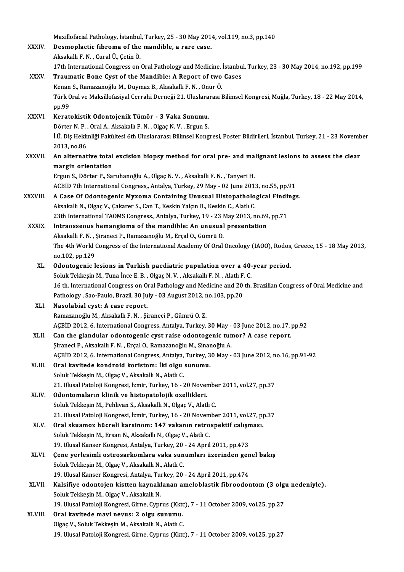Maxillofacial Pathology, İstanbul, Turkey, 25 - 30 May 2014, vol.119, no.3, pp.140<br>Pesmanlastis fibroma of the mandible, a rare sase Maxillofacial Pathology, İstanbul, Turkey, 25 - 30 May 201<br>XXXIV. Desmoplactic fibroma of the mandible, a rare case. Maxillofacial Pathology, İstanbul<br>Desmoplactic fibroma of the<br>Aksakallı F. N. , Cural Ü., Çetin Ö.<br>17th International Congrees on Desmoplactic fibroma of the mandible, a rare case.<br>Aksakallı F. N. , Cural Ü., Çetin Ö.<br>17th International Congress on Oral Pathology and Medicine, İstanbul, Turkey, 23 - 30 May 2014, no.192, pp.199<br>Traumatia Bane Gyat of Aksakallı F. N. , Cural Ü., Çetin Ö.<br>17th International Congress on Oral Pathology and Medicine, İstanbu<br>XXXV. Traumatic Bone Cyst of the Mandible: A Report of two Cases<br>Kenan S., Ramazanoğlu M., Duymaz B., Aksakallı F 17th International Congress on Oral Pathology and Medicine,<br>Traumatic Bone Cyst of the Mandible: A Report of two<br>Kenan S., Ramazanoğlu M., Duymaz B., Aksakallı F. N. , Onur Ö.<br>Türk Oral ve Maksillefasiyal Cerrebi Derneği 2 Traumatic Bone Cyst of the Mandible: A Report of two Cases<br>Kenan S., Ramazanoğlu M., Duymaz B., Aksakallı F. N. , Onur Ö.<br>Türk Oral ve Maksillofasiyal Cerrahi Derneği 21. Uluslararası Bilimsel Kongresi, Muğla, Turkey, 18 -Kenan<br>Türk C<br>pp.99<br>Kerat XXXVI. Keratokistik Odontojenik Tümör - 3 Vaka Sunumu. pp.99<br>Keratokistik Odontojenik Tümör - 3 Vaka Sunumu.<br>Dörter N. P. , Oral A., Aksakallı F. N. , Olgaç N. V. , Ergun S.<br>UÜ Dis Heltimliği Fekültesi 6th Uluslaranesi Bilimsel Kong İ.Ü. Diş Hekimliği Fakültesi 6th Uluslararası Bilimsel Kongresi, Poster Bildirileri, İstanbul, Turkey, 21 - 23 November<br>2013. no.86 Dörter N. P.<br>İ.Ü. Diş Hekir<br>2013, no.86<br>An altannat 1.Ü. Diş Hekimliği Fakültesi 6th Uluslararası Bilimsel Kongresi, Poster Bildirileri, İstanbul, Turkey, 21 - 23 Novemb<br>2013, no.86<br>XXXVII. An alternative total excision biopsy method for oral pre- and malignant lesions margin orientation<br>Ergun S., Dörter P., Saruhanoğlu A., Olgaç N. V. , Aksakallı F. N. , Tanyeri H. An alternative total excision biopsy method for oral pre- and ma<br>margin orientation<br>Ergun S., Dörter P., Saruhanoğlu A., Olgaç N. V. , Aksakallı F. N. , Tanyeri H.<br>ACPID 7th International Congress, Antalya Turkey, 29 May, margin orientation<br>Ergun S., Dörter P., Saruhanoğlu A., Olgaç N. V. , Aksakallı F. N. , Tanyeri H.<br>ACBID 7th International Congress,, Antalya, Turkey, 29 May - 02 June 2013, no.55, pp.91<br>A Case Of Odentesenie Muyeme Centei XXXVIII. A Case Of Odontogenic Myxoma Containing Unusual Histopathological Findings.<br>Aksakallı N., Olgac V., Cakarer S., Can T., Keskin Yalcın B., Keskin C., Alatlı C. ACBID 7th International Congress,, Antalya, Turkey, 29 May - 02 June 201:<br>A Case Of Odontogenic Myxoma Containing Unusual Histopatholo<br>Aksakallı N., Olgaç V., Çakarer S., Can T., Keskin Yalçın B., Keskin C., Alatlı C.<br>22th A Case Of Odontogenic Myxoma Containing Unusual Histopathological Findin<br>Aksakallı N., Olgaç V., Çakarer S., Can T., Keskin Yalçın B., Keskin C., Alatlı C.<br>23th International TAOMS Congress., Antalya, Turkey, 19 - 23 May 2 Aksakallı N., Olgaç V., Çakarer S., Can T., Keskin Yalçın B., Keskin C., Alatlı C.<br>23th International TAOMS Congress., Antalya, Turkey, 19 - 23 May 2013, no.69<br>XXXIX. Intraosseous hemangioma of the mandible: An unusual pre 23th International TAOMS Congress., Antalya, Turkey, 19 - 23 l<br>Intraosseous hemangioma of the mandible: An unusual<br>Aksakallı F. N. , Şiraneci P., Ramazanoğlu M., Erçal O., Gümrü O.<br>The 4th Werld Congress of the Internation Intraosseous hemangioma of the mandible: An unusual presentation<br>Aksakallı F. N. , Şiraneci P., Ramazanoğlu M., Erçal O., Gümrü O.<br>The 4th World Congress of the International Academy Of Oral Oncology (IAOO), Rodos, Greece, Aksakallı F. N., Şiraneci P., Ramazanoğlu M., Erçal O., Gümrü O. The 4th World Congress of the International Academy Of Oral Oncology (IAOO), Rodos,<br>no.102, pp.129<br>XL. Odontogenic lesions in Turkish paediatric pupulation over a 40-year period.<br>Soluk Tokkesin M. Tuna has E.B. Okas N.V. A no.102, pp.129<br>Odontogenic lesions in Turkish paediatric pupulation over a 40-<br>Soluk Tekkeşin M., Tuna İnce E. B. , Olgaç N. V. , Aksakallı F. N. , Alatlı F. C.<br>16 th International Congress en Oral Bathelegy and Medicine a Odontogenic lesions in Turkish paediatric pupulation over a 40-year period.<br>Soluk Tekkeşin M., Tuna İnce E. B. , Olgaç N. V. , Aksakallı F. N. , Alatlı F. C.<br>16 th. International Congress on Oral Pathology and Medicine and Soluk Tekkeşin M., Tuna İnce E. B. , Olgaç N. V. , Aksakallı F. N. , Alatlı F.<br>16 th. International Congress on Oral Pathology and Medicine and 20<br>Pathology , Sao-Paulo, Brazil, 30 July - 03 August 2012, no.103, pp.20<br>Naso 16 th. International Congress on O<br>Pathology , Sao-Paulo, Brazil, 30 Ju<br>XLI. Nasolabial cyst: A case report. Pathology , Sao-Paulo, Brazil, 30 July - 03 August 2012, no.103, pp.20<br>Nasolabial cyst: A case report.<br>Ramazanoğlu M., Aksakallı F. N. , Şiraneci P., Gümrü O. Z. AÇBİD 2012, 6. International Congress, Antalya, Turkey, 30 May - 03 June 2012, no.17, pp.92 XLII. Can the glandular odontogenic cyst raise odontogenic tumor? A case report. AÇBİD 2012, 6. International Congress, Antalya, Turkey, 30 May -<br>Can the glandular odontogenic cyst raise odontogenic tun<br>Şiraneci P., Aksakallı F. N. , Erçal O., Ramazanoğlu M., Sinanoğlu A.<br>ACPİD 2012, 6. International C AÇBİD 2012, 6. International Congress, Antalya, Turkey, 30 May - 03 June 2012, no.16, pp.91-92<br>Oral kavitede kondroid koristom: İki olgu sunumu. Şiraneci P., Aksakallı F. N. , Erçal O., Ramazanoğlu M., Sinan<br>AÇBİD 2012, 6. International Congress, Antalya, Turkey, 3<br>XLIII. Oral kavitede kondroid koristom: İki olgu sunumu.<br>Soluk Tekkesin M. Olga V. Aksakallı N. Alatl Soluk Tekkeşin M., Olgaç V., Aksakallı N., Alatlı C. 21.UlusalPatolojiKongresi, İzmir,Turkey,16 -20November 2011,vol.27,pp.37 XLIV. Odontomaların klinik ve histopatolojik ozellikleri. Soluk Tekkeşin M., Pehlivan S., Aksakallı N., Olgaç V., Alatlı C. Odontomaların klinik ve histopatolojik ozellikleri.<br>Soluk Tekkeşin M., Pehlivan S., Aksakallı N., Olgaç V., Alatlı C.<br>21. Ulusal Patoloji Kongresi, İzmir, Turkey, 16 - 20 November 2011, vol.27, pp.37<br>Oral skuamar büsrəli k Soluk Tekkeşin M., Pehlivan S., Aksakallı N., Olgaç V., Alatlı C.<br>21. Ulusal Patoloji Kongresi, İzmir, Turkey, 16 - 20 November 2011, vol.27, p<br>XLV. Oral skuamoz hücreli karsinom: 147 vakanın retrospektif calışması.<br>Soluk Oral skuamoz hücreli karsinom: 147 vakanın retrospektif calışması.<br>Soluk Tekkeşin M., Ersan N., Aksakallı N., Olgaç V., Alatlı C. Oral skuamoz hücreli karsinom: 147 vakanın retrospektif calışı<br>Soluk Tekkeşin M., Ersan N., Aksakallı N., Olgaç V., Alatlı C.<br>19. Ulusal Kanser Kongresi, Antalya, Turkey, 20 - 24 April 2011, pp.473<br>Cana varlasimli astaosar Soluk Tekkeşin M., Ersan N., Aksakallı N., Olgaç V., Alatlı C.<br>19. Ulusal Kanser Kongresi, Antalya, Turkey, 20 - 24 April 2011, pp.473<br>XLVI. Gene yerlesimli osteosarkomlara vaka sunumları üzerinden genel bakış<br>Soluk Tekkes 19. Ulusal Kanser Kongresi, Antalya, Turkey, 20<br>Çene yerlesimli osteosarkomlara vaka sun<br>Soluk Tekkeşin M., Olgaç V., Aksakallı N., Alatlı C.<br>19. Ulusal Kanser Kongresi, Antalya Turkey, 20. Çene yerlesimli osteosarkomlara vaka sunumları üzerinden gen<br>Soluk Tekkeşin M., Olgaç V., Aksakallı N., Alatlı C.<br>19. Ulusal Kanser Kongresi, Antalya, Turkey, 20 - 24 April 2011, pp.474<br>Kalaifiya adaptajan kisttan kaynakla Soluk Tekkeşin M., Olgaç V., Aksakallı N., Alatlı C.<br>19. Ulusal Kanser Kongresi, Antalya, Turkey, 20 - 24 April 2011, pp.474<br>XLVII. Kalsifiye odontojen kistten kaynaklanan ameloblastik fibroodontom (3 olgu nedeniyle).<br>Solu 19. Ulusal Kanser Kongresi, Antalya, Turkey, 20 - 24 April 2011, pp.474 Kalsifiye odontojen kistten kaynaklanan ameloblastik fibroodontom (3 olg<br>Soluk Tekkeşin M., Olgaç V., Aksakallı N.<br>19. Ulusal Patoloji Kongresi, Girne, Cyprus (Kktc), 7 - 11 October 2009, vol.25, pp.27<br>Onal kayitade mayi n Soluk Tekkeşin M., Olgaç V., Aksakallı N.<br>19. Ulusal Patoloji Kongresi, Girne, Cyprus (Kktorus: 2 olgu sunumu.<br>2 olgaz V. Soluk Tekkesin M. Aksakallı N. Alatlı G. 19. Ulusal Patoloji Kongresi, Girne, Cyprus (Kktc)<br>Oral kavitede mavi nevus: 2 olgu sunumu.<br>Olgaç V., Soluk Tekkeşin M., Aksakallı N., Alatlı C.<br>10. Ulusal Patoloji Kongresi, Girne, Gunrus (Kkto 0ral kavitede mavi nevus: 2 olgu sunumu.<br>Olgaç V., Soluk Tekkeşin M., Aksakallı N., Alatlı C.<br>19. Ulusal Patoloji Kongresi, Girne, Cyprus (Kktc), 7 - 11 October 2009, vol.25, pp.27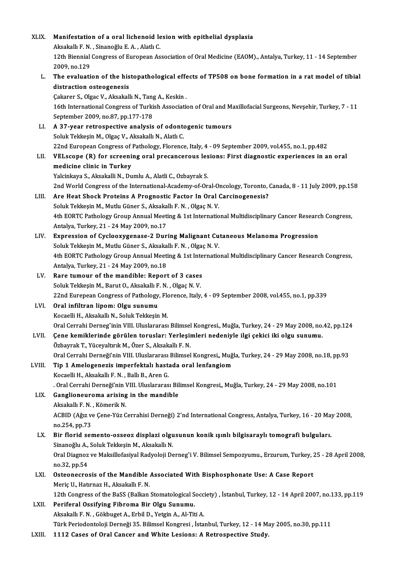| XLIX.         | Manifestation of a oral lichenoid lesion with epithelial dysplasia                                                                                         |
|---------------|------------------------------------------------------------------------------------------------------------------------------------------------------------|
|               | Aksakallı F. N., Sinanoğlu E. A., Alatlı C.                                                                                                                |
|               | 12th Biennial Congress of European Association of Oral Medicine (EAOM). Antalya, Turkey, 11 - 14 September<br>2009, no 129                                 |
| L.            | The evaluation of the histopathological effects of TP508 on bone formation in a rat model of tibial                                                        |
|               | distraction osteogenesis                                                                                                                                   |
|               | Çakarer S., Olgac V., Aksakallı N., Tang A., Keskin.                                                                                                       |
|               | 16th International Congress of Turkish Association of Oral and Maxillofacial Surgeons, Nevşehir, Turkey, 7 - 11<br>September 2009, no 87, pp 177-178       |
| LI.           | A 37-year retrospective analysis of odontogenic tumours                                                                                                    |
|               | Soluk Tekkeşin M., Olgaç V., Aksakallı N., Alatlı C.                                                                                                       |
|               | 22nd European Congress of Pathology, Florence, Italy, 4 - 09 September 2009, vol.455, no.1, pp.482                                                         |
| LII.          | VELscope (R) for screening oral precancerous lesions: First diagnostic experiences in an oral                                                              |
|               | medicine clinic in Turkey                                                                                                                                  |
|               | Yalcinkaya S., Aksakalli N., Dumlu A., Alatli C., Ozbayrak S.                                                                                              |
|               | 2nd World Congress of the International-Academy-of-Oral-Oncology, Toronto, Canada, 8 - 11 July 2009, pp.158                                                |
| LIII.         | Are Heat Shock Proteins A Prognostic Factor In Oral Carcinogenesis?                                                                                        |
|               | Soluk Tekkeşin M., Mutlu Güner S., Aksakallı F. N., Olgaç N. V.                                                                                            |
|               | 4th EORTC Pathology Group Annual Meeting & 1st International Multidisciplinary Cancer Research Congress,                                                   |
|               | Antalya, Turkey, 21 - 24 May 2009, no.17                                                                                                                   |
| LIV.          | Expression of Cyclooxygenase-2 During Malignant Cutaneous Melanoma Progression                                                                             |
|               | Soluk Tekkeşin M., Mutlu Güner S., Aksakallı F. N., Olgaç N. V.                                                                                            |
|               | 4th EORTC Pathology Group Annual Meeting & 1st International Multidisciplinary Cancer Research Congress,                                                   |
|               | Antalya, Turkey, 21 - 24 May 2009, no 18                                                                                                                   |
| LV.           | Rare tumour of the mandible: Report of 3 cases                                                                                                             |
|               | Soluk Tekkeşin M., Barut O., Aksakallı F. N., Olgaç N. V.                                                                                                  |
|               | 22nd Eurepean Congress of Pathology, Florence, Italy, 4 - 09 September 2008, vol.455, no.1, pp.339                                                         |
| LVI.          | Oral infiltran lipom: Olgu sunumu                                                                                                                          |
|               | Kocaelli H., Aksakallı N., Soluk Tekkeşin M.                                                                                                               |
|               | Oral Cerrahi Derneg^inin VIII. Uluslararası Bilimsel Kongresi., Muğla, Turkey, 24 - 29 May 2008, no.42, pp.124                                             |
| LVII.         | Çene kemiklerinde görülen toruslar: Yerleşimleri nedeniyle ilgi çekici iki olgu sunumu.                                                                    |
|               | Özbayrak T., Yüceyaltırık M., Özer S., Aksakallı F. N.                                                                                                     |
|               | Oral Cerrahi Derneği'nin VIII. Uluslararası Bilimsel Kongresi,, Muğla, Turkey, 24 - 29 May 2008, no.18, pp.93                                              |
| LVIII.        | Tip 1 Amelogenezis imperfektalı hastada oral lenfangiom                                                                                                    |
|               | Kocaelli H., Aksakallı F. N., Ballı B., Aren G.                                                                                                            |
|               | . Oral Cerrahi Derneği'nin VIII. Uluslararası Bilimsel Kongresi,, Muğla, Turkey, 24 - 29 May 2008, no.101                                                  |
| LIX.          | Ganglioneuroma arising in the mandible                                                                                                                     |
|               | Aksakallı F. N., Kömerik N.                                                                                                                                |
|               | ACBID (Ağız ve Çene-Yüz Cerrahisi Derneği) 2'nd International Congress, Antalya, Turkey, 16 - 20 May 2008,                                                 |
|               | no.254, pp.73                                                                                                                                              |
| LX.           | Bir florid semento-osseoz displazi olgusunun konik ışınlı bilgisaraylı tomografi bulguları.                                                                |
|               | Sinanoğlu A., Soluk Tekkeşin M., Aksakallı N.                                                                                                              |
|               | Oral Diagnoz ve Maksillofasiyal Radyoloji Derneg'i V. Bilimsel Sempozyumu., Erzurum, Turkey, 25 - 28 April 2008,                                           |
|               | no 32, pp 54                                                                                                                                               |
| LXI.<br>LXII. | Osteonecrosis of the Mandible Associated With Bisphosphonate Use: A Case Report                                                                            |
|               | Meriç U., Hatırnaz H., Aksakallı F. N.<br>12th Congress of the BaSS (Balkan Stomatological Socciety), İstanbul, Turkey, 12 - 14 April 2007, no.133, pp.119 |
|               | Periferal Ossifying Fibroma Bir Olgu Sunumu.                                                                                                               |
|               | Aksakallı F. N., Gökbuget A., Erbil D., Yetgin A., Al-Titi A.                                                                                              |
|               | Türk Periodontoloji Derneği 35. Bilimsel Kongresi, İstanbul, Turkey, 12 - 14 May 2005, no.30, pp.111                                                       |
| LXIII.        | 1112 Cases of Oral Cancer and White Lesions: A Retrospective Study.                                                                                        |
|               |                                                                                                                                                            |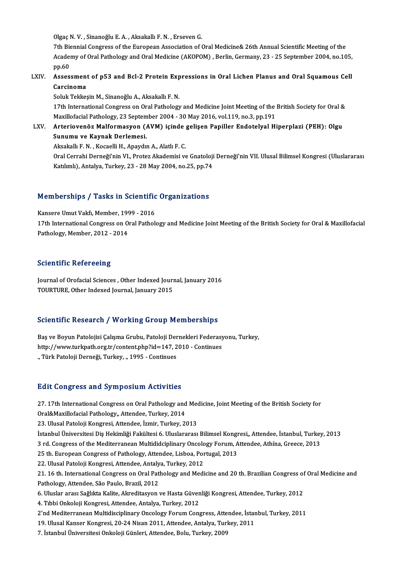Olgaç N.V., Sinanoğlu E.A., Aksakallı F.N., Erseven G.

7th Biennial Congress of the European Association of Oral Medicine& 26th Annual Scientific Meeting of the Olgaç N. V. , Sinanoğlu E. A. , Aksakallı F. N. , Erseven G.<br>7th Biennial Congress of the European Association of Oral Medicine& 26th Annual Scientific Meeting of the<br>Academy of Oral Pathology and Oral Medicine (AKOPOM) , 7th Bio<br>Acader<br>pp.60 Academy of Oral Pathology and Oral Medicine (AKOPOM) , Berlin, Germany, 23 - 25 September 2004, no.105<br>pp.60<br>LXIV. Assessment of p53 and Bcl-2 Protein Expressions in Oral Lichen Planus and Oral Squamous Cell<br>Carsinoma

# pp.60<br>Assessment<br>Carcinoma<br>Soluk Tokket Carcinoma<br>Soluk Tekkeşin M., Sinanoğlu A., Aksakallı F. N.

Carcinoma<br>Soluk Tekkeşin M., Sinanoğlu A., Aksakallı F. N.<br>17th International Congress on Oral Pathology and Medicine Joint Meeting of the British Society for Oral &<br>Mavillafacial Pathology, 22 Sontamber 2004, ...20 May 20 Soluk Tekkeşin M., Sinanoğlu A., Aksakallı F. N.<br>17th International Congress on Oral Pathology and Medicine Joint Meeting of the<br>Maxillofacial Pathology, 23 September 2004 - 30 May 2016, vol.119, no.3, pp.191<br>Arteriavonës 17th International Congress on Oral Pathology and Medicine Joint Meeting of the British Society for Oral &<br>Maxillofacial Pathology, 23 September 2004 - 30 May 2016, vol.119, no.3, pp.191<br>LXV. Arteriovenöz Malformasyon (AVM

### Maxillofacial Pathology, 23 Septem<br>Arteriovenöz Malformasyon (*I*<br>Sunumu ve Kaynak Derlemesi.<br>Akaskallı E.N., Kassalli H. Anaydu Arteriovenöz Malformasyon (AVM) içinde<br>Sunumu ve Kaynak Derlemesi.<br>Aksakallı F.N.,Kocaelli H., Apaydın A., Alatlı F. C.<br>Oral Cerrabi Derneği'nin VI. Preter Altedemisi ve Sunumu ve Kaynak Derlemesi.<br>Aksakallı F. N. , Kocaelli H., Apaydın A., Alatlı F. C.<br>Oral Cerrahi Derneği'nin VI., Protez Akademisi ve Gnatoloji Derneği'nin VII. Ulusal Bilimsel Kongresi (Uluslararası

Katılımlı),Antalya,Turkey,23 -28May2004,no.25,pp.74

# Rathmin), Antalya, Turkey, 23 - 28 May 2004, no.25, pp./4<br>Memberships / Tasks in Scientific Organizations Memberships / Tasks in Scientific<br>Kansere Umut Vakfı, Member, 1999 - 2016<br>17th International Consress en Oral Pathol

17th InternationalCongress on Oral Pathology and Medicine<br>I 7th International Congress on Oral Pathology and Medicine Joint Meeting of the British Society for Oral & Maxillofacial<br>Rathology Mambar, 2012, 2014 Kansere Umut Vakfı, Member, 199<br>17th International Congress on O<br>Pathology, Member, 2012 - 2014 Pathology, Member, 2012 - 2014<br>Scientific Refereeing

Journal of Orofacial Sciences, Other Indexed Journal, January 2016 TOURTURE, Other Indexed Journal, January 2015

#### Scientific Research / Working Group Memberships

Scientific Research / Working Group Memberships<br>Baş ve Boyun Patolojisi Çalışma Grubu, Patoloji Dernekleri Federasyonu, Turkey,<br>http://www.turlmeth.org.tr/centent.php?id=147-2010, Centinues Bas ve Boyun Patolojisi Çalışma Grubu, Patoloji Dernekleri Federasy<br>http://www.turkpath.org.tr/content.php?id=147, 2010 - Continues Baş ve Boyun Patolojisi Çalışma Grubu, Patoloji Der<br>http://www.turkpath.org.tr/content.php?id=147, 2<br>., Türk Patoloji Derneği, Turkey, ., 1995 - Continues

# "Türk Patoloji Derneği, Turkey, "1995 - Continues<br>Edit Congress and Symposium Activities

Edit Congress and Symposium Activities<br>27. 17th International Congress on Oral Pathology and Medicine, Joint Meeting of the British Society for<br>Oral&Mavillafacial Bathology, Attordee Turkey, 2014 Eure Gongress and by mposium receivered<br>27. 17th International Congress on Oral Pathology and<br>Oral&Maxillofacial Pathology,, Attendee, Turkey, 2014 27. 17th International Congress on Oral Pathology and Mec<br>Oral&Maxillofacial Pathology,, Attendee, Turkey, 2014<br>23. Ulusal Patoloji Kongresi, Attendee, İzmir, Turkey, 2013<br>İstanbul Üniversitesi Dis Heltimliği Felsültesi 6. Oral&Maxillofacial Pathology,, Attendee, Turkey, 2014<br>23. Ulusal Patoloji Kongresi, Attendee, İzmir, Turkey, 2013<br>İstanbul Üniversitesi Diş Hekimliği Fakültesi 6. Uluslararası Bilimsel Kongresi,, Attendee, İstanbul, Turkey 23. Ulusal Patoloji Kongresi, Attendee, İzmir, Turkey, 2013<br>İstanbul Üniversitesi Diş Hekimliği Fakültesi 6. Uluslararası Bilimsel Kongresi,, Attendee, İstanbul, Turkey<br>3 rd. Congress of the Mediterranean Multididciplinary İstanbul Üniversitesi Diş Hekimliği Fakültesi 6. Uluslararası Bilimsel Kongr<br>3 rd. Congress of the Mediterranean Multididciplinary Oncology Forum, A<br>25 th. European Congress of Pathology, Attendee, Lisboa, Portugal, 2013<br>2 3 rd. Congress of the Mediterranean Multididciplinary Oncology Forum, Attendee, Athína, Greece, 2013<br>25 th. European Congress of Pathology, Attendee, Lisboa, Portugal, 2013<br>22. Ulusal Patoloji Kongresi, Attendee, Antalya, 25 th. European Congress of Pathology, Attendee, Lisboa, Portugal, 2013<br>22. Ulusal Patoloji Kongresi, Attendee, Antalya, Turkey, 2012<br>21. 16 th. International Congress on Oral Pathology and Medicine and 20 th. Brazilian Co 22. Ulusal Patoloji Kongresi, Attendee, Antaly<br>21. 16 th. International Congress on Oral Pat<br>Pathology, Attendee, São Paulo, Brazil, 2012<br>6. Uluslar ares: Sağlıkta Kalita, Almaditasyan 21. 16 th. International Congress on Oral Pathology and Medicine and 20 th. Brazilian Congress of<br>Pathology, Attendee, São Paulo, Brazil, 2012<br>6. Uluslar arası Sağlıkta Kalite, Akreditasyon ve Hasta Güvenliği Kongresi, Att Pathology, Attendee, São Paulo, Brazil, 2012<br>6. Uluslar arası Sağlıkta Kalite, Akreditasyon ve Hasta Güvenliği Kongresi, Attendee, Turkey, 2012<br>4. Tıbbi Onkoloji Kongresi, Attendee, Antalya, Turkey, 2012 2'nd Mediterranean Multidisciplinary Oncology Forum Congress, Attendee, İstanbul, Turkey, 2011 4. Tıbbi Onkoloji Kongresi, Attendee, Antalya, Turkey, 2012<br>2'nd Mediterranean Multidisciplinary Oncology Forum Congress, Attendee, İstan<br>19. Ulusal Kanser Kongresi, 20-24 Nisan 2011, Attendee, Antalya, Turkey, 2011<br>7. İst 2'nd Mediterranean Multidisciplinary Oncology Forum Congress, Atte<br>19. Ulusal Kanser Kongresi, 20-24 Nisan 2011, Attendee, Antalya, Turl<br>7. İstanbul Üniversitesi Onkoloji Günleri, Attendee, Bolu, Turkey, 2009